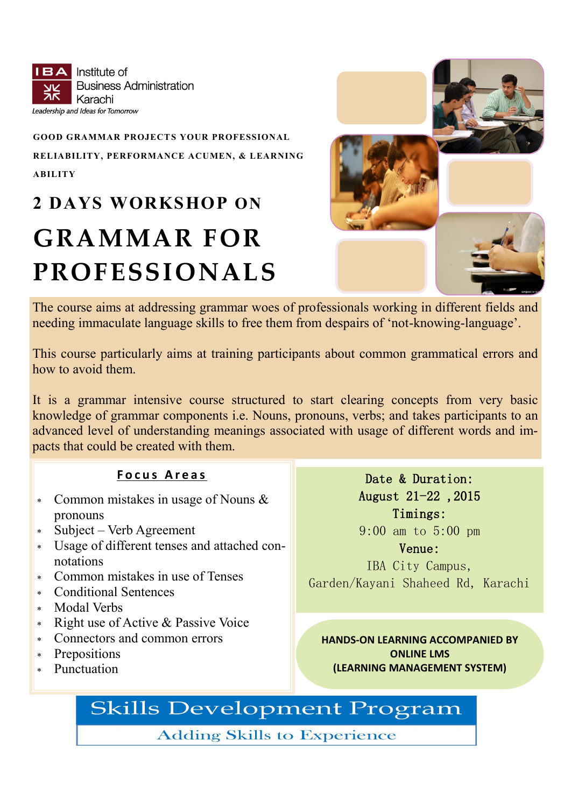**BA** Institute of **Business Administration** Karachi Leadership and Ideas for Tomorrow

# **GOOD GRAMMAR PROJECTS YOUR PROFESSIONAL RELIABILITY, PERFORMANCE ACUMEN, & LEARNING ABILITY**

# **2 DAYS WORKSHOP ON GRAMMAR FOR PROFESSIONALS**



The course aims at addressing grammar woes of professionals working in different fields and needing immaculate language skills to free them from despairs of 'not-knowing-language'.

This course particularly aims at training participants about common grammatical errors and how to avoid them.

It is a grammar intensive course structured to start clearing concepts from very basic knowledge of grammar components i.e. Nouns, pronouns, verbs; and takes participants to an advanced level of understanding meanings associated with usage of different words and impacts that could be created with them.

# **F o c u s A r e a s**

- Common mistakes in usage of Nouns & pronouns
- Subject Verb Agreement
- Usage of different tenses and attached connotations
- Common mistakes in use of Tenses
- Conditional Sentences
- Modal Verbs
- $\ast$  Right use of Active & Passive Voice
- Connectors and common errors
- Prepositions
- Punctuation

Date & Duration: August 21-22 ,2015 Timings: 9:00 am to 5:00 pm

Venue:

IBA City Campus, Garden/Kayani Shaheed Rd, Karachi

**HANDS-ON LEARNING ACCOMPANIED BY ONLINE LMS (LEARNING MANAGEMENT SYSTEM)**

# **Skills Development Program**

**Adding Skills to Experience**